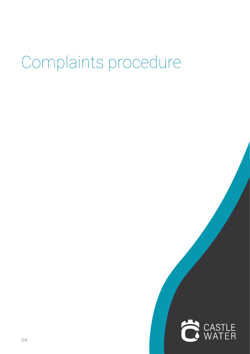# Complaints procedure

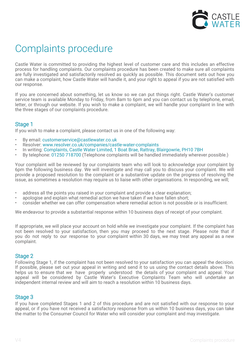

# Complaints procedure

Castle Water is committed to providing the highest level of customer care and this includes an effective process for handling complaints. Our complaints procedure has been created to make sure all complaints are fully investigated and satisfactorily resolved as quickly as possible. This document sets out how you can make a complaint, how Castle Water will handle it, and your right to appeal if you are not satisfied with our response.

If you are concerned about something, let us know so we can put things right. Castle Water's customer service team is available Monday to Friday, from 8am to 6pm and you can contact us by telephone, email, letter, or through our website. If you wish to make a complaint, we will handle your complaint in line with the three stages of our complaints procedure.

# Stage 1

If you wish to make a complaint, please contact us in one of the following way:

- By email: customerservice@castlewater.co.uk
- Resolver: www.resolver.co.uk/companies/castle-water-complaints
- In writing: Complaints, Castle Water Limited, 1 Boat Brae, Rattray, Blairgowrie, PH10 7BH
- By telephone: 01250 718700 (Telephone complaints will be handled immediately wherever possible.)

Your complaint will be reviewed by our complaints team who will look to acknowledge your complaint by 6pm the following business day. We will investigate and may call you to discuss your complaint. We will provide a proposed resolution to the complaint or a substantive update on the progress of resolving the issue, as sometimes a resolution may require us to liaise with other organisations. In responding, we will;

- address all the points you raised in your complaint and provide a clear explanation;
- apologise and explain what remedial action we have taken if we have fallen short;
- consider whether we can offer compensation where remedial action is not possible or is insufficient.

We endeavour to provide a substantial response within 10 business days of receipt of your complaint.

If appropriate, we will place your account on hold while we investigate your complaint. If the complaint has not been resolved to your satisfaction, then you may proceed to the next stage. Please note that if you do not reply to our response to your complaint within 30 days, we may treat any appeal as a new complaint.

### Stage 2

Following Stage 1, if the complaint has not been resolved to your satisfaction you can appeal the decision. If possible, please set out your appeal in writing and send it to us using the contact details above. This helps us to ensure that we have properly understood the details of your complaint and appeal. Your appeal will be considered by Castle Water's Executive Complaints Team who will undertake an independent internal review and will aim to reach a resolution within 10 business days.

# Stage 3

If you have completed Stages 1 and 2 of this procedure and are not satisfied with our response to your appeal, or if you have not received a satisfactory response from us within 10 business days, you can take the matter to the Consumer Council for Water who will consider your complaint and may investigate.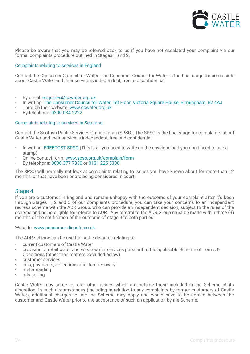

Please be aware that you may be referred back to us if you have not escalated your complaint via our formal complaints procedure outlined in Stages 1 and 2.

#### Complaints relating to services in England

Contact the Consumer Council for Water. The Consumer Council for Water is the final stage for complaints about Castle Water and their service is independent, free and confidential.

- By email: enquiries@ccwater.org.uk
- In writing: The Consumer Council for Water, 1st Floor, Victoria Square House, Birmingham, B2 4AJ
- Through their website: www.ccwater.org.uk
- By telephone: 0300 034 2222

#### Complaints relating to services in Scotland

Contact the Scottish Public Services Ombudsman (SPSO). The SPSO is the final stage for complaints about Castle Water and their service is independent, free and confidential.

- In writing: FREEPOST SPSO (This is all you need to write on the envelope and you don't need to use a stamp)
- Online contact form: www.spso.org.uk/complain/form
- By telephone: 0800 377 7330 or 0131 225 5300

The SPSO will normally not look at complaints relating to issues you have known about for more than 12 months, or that have been or are being considered in court.

#### Stage 4

If you are a customer in England and remain unhappy with the outcome of your complaint after it's been through Stages 1, 2 and 3 of our complaints procedure, you can take your concerns to an independent redress scheme with the ADR Group, who can provide an independent decision, subject to the rules of the scheme and being eligible for referral to ADR. Any referral to the ADR Group must be made within three (3) months of the notification of the outcome of stage 3 to both parties.

#### Website: www.consumer-dispute.co.uk

The ADR scheme can be used to settle disputes relating to:

- current customers of Castle Water
- provision of retail water and waste water services pursuant to the applicable Scheme of Terms & Conditions (other than matters excluded below)
- customer services
- bills, payments, collections and debt recovery
- meter reading
- mis-selling

Castle Water may agree to refer other issues which are outside those included in the Scheme at its discretion. In such circumstances (including in relation to any complaints by former customers of Castle Water), additional charges to use the Scheme may apply and would have to be agreed between the customer and Castle Water prior to the acceptance of such an application by the Scheme.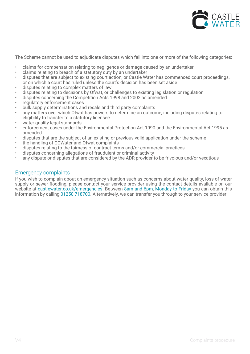

The Scheme cannot be used to adjudicate disputes which fall into one or more of the following categories:

- claims for compensation relating to negligence or damage caused by an undertaker
- claims relating to breach of a statutory duty by an undertaker
- disputes that are subject to existing court action, or Castle Water has commenced court proceedings, or on which a court has ruled unless the court's decision has been set aside
- disputes relating to complex matters of law
- disputes relating to decisions by Ofwat, or challenges to existing legislation or regulation
- disputes concerning the Competition Acts 1998 and 2002 as amended
- regulatory enforcement cases
- bulk supply determinations and resale and third party complaints
- any matters over which Ofwat has powers to determine an outcome, including disputes relating to eligibility to transfer to a statutory licensee
- water quality legal standards
- enforcement cases under the Environmental Protection Act 1990 and the Environmental Act 1995 as amended
- disputes that are the subject of an existing or previous valid application under the scheme
- the handling of CCWater and Ofwat complaints
- disputes relating to the fairness of contract terms and/or commercial practices
- disputes concerning allegations of fraudulent or criminal activity
- any dispute or disputes that are considered by the ADR provider to be frivolous and/or vexatious

#### Emergency complaints

If you wish to complain about an emergency situation such as concerns about water quality, loss of water supply or sewer flooding, please contact your service provider using the contact details available on our website at castlewater.co.uk/emergencies. Between 8am and 6pm, Monday to Friday you can obtain this information by calling 01250 718700. Alternatively, we can transfer you through to your service provider.